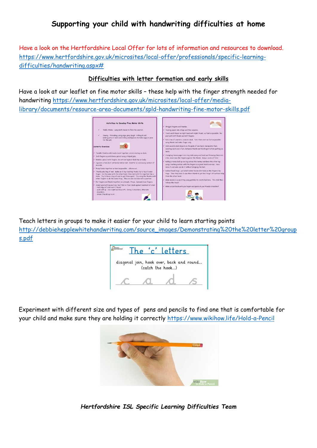## **Supporting your child with handwriting difficulties at home**

Have a look on the Hertfordshire Local Offer for lots of information and resources to download. [https://www.hertfordshire.gov.uk/microsites/local-offer/professionals/specific-learning](https://www.hertfordshire.gov.uk/microsites/local-offer/professionals/specific-learning-difficulties/handwriting.aspx)[difficulties/handwriting.aspx#](https://www.hertfordshire.gov.uk/microsites/local-offer/professionals/specific-learning-difficulties/handwriting.aspx)

## **Difficulties with letter formation and early skills**

Have a look at our leaflet on fine motor skills – these help with the finger strength needed for handwriting [https://www.hertfordshire.gov.uk/microsites/local-offer/media](https://www.hertfordshire.gov.uk/microsites/local-offer/media-library/documents/resource-area-documents/spld-handwriting-fine-motor-skills.pdf)[library/documents/resource-area-documents/spld-handwriting-fine-motor-skills.pdf](https://www.hertfordshire.gov.uk/microsites/local-offer/media-library/documents/resource-area-documents/spld-handwriting-fine-motor-skills.pdf)



Teach letters in groups to make it easier for your child to learn starting points [http://debbiehepplewhitehandwriting.com/source\\_images/Demonstrating%20the%20letter%20group](http://debbiehepplewhitehandwriting.com/source_images/Demonstrating%20the%20letter%20groups.pdf)  [s.pdf](http://debbiehepplewhitehandwriting.com/source_images/Demonstrating%20the%20letter%20groups.pdf)



Experiment with different size and types of pens and pencils to find one that is comfortable for your child and make sure they are holding it correctly<https://www.wikihow.life/Hold-a-Pencil>



*Hertfordshire ISL Specific Learning Difficulties Team*